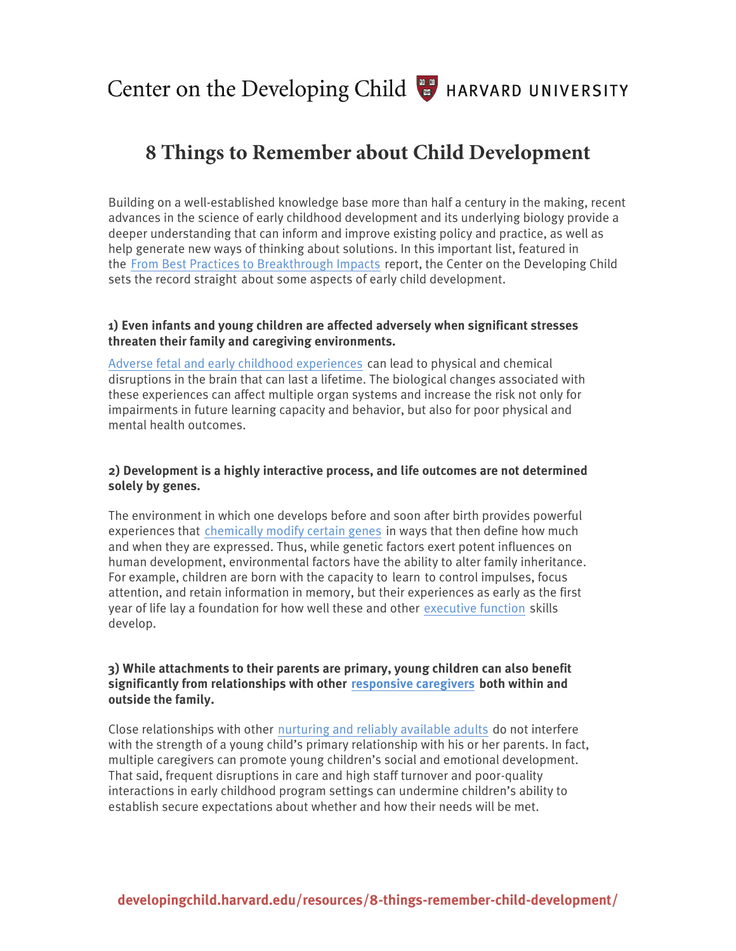Center on the Developing Child  $\begin{array}{cc} \bullet & \bullet \\ \bullet & \bullet \end{array}$  HARVARD UNIVERSITY

# **8 Things to Remember about Child Development**

Building on a well-established knowledge base more than half a century in the making, recent advances in the science of early childhood development and its underlying biology provide a deeper understanding that can inform and improve existing policy and practice, as well as help generate new ways of thinking about solutions. In this important list, featured in the From Best Practices to Breakthrough Impacts report, the Center on the Developing Child sets the record straight about some aspects of early child development.

#### **1) Even infants and young children are affected adversely when significant stresses threaten their family and caregiving environments.**

[Adverse fetal and early childhood experiences](http://developingchild.harvard.edu/science/key-concepts/toxic-stress/) can lead to physical and chemical disruptions in the brain that can last a lifetime. The biological changes associated with these experiences can affect multiple organ systems and increase the risk not only for impairments in future learning capacity and behavior, but also for poor physical and mental health outcomes.

# **2) Development is a highly interactive process, and life outcomes are not determined solely by genes.**

The environment in which one develops before and soon after birth provides powerful experiences that [chemically modify certain genes](http://developingchild.harvard.edu/science/deep-dives/gene-environment-interaction/) in ways that then define how much and when they are expressed. Thus, while genetic factors exert potent influences on human development, environmental factors have the ability to alter family inheritance. For example, children are born with the capacity to learn to control impulses, focus attention, and retain information in memory, but their experiences as early as the first year of life lay a foundation for how well these and other [executive function](http://developingchild.harvard.edu/science/key-concepts/executive-function/) skills develop.

## **3) While attachments to their parents are primary, young children can also benefit significantly from relationships with other [responsive caregivers](http://developingchild.harvard.edu/science/key-concepts/serve-and-return/) both within and outside the family.**

Close relationships with other [nurturing and reliably available adults](http://developingchild.harvard.edu/resources/building-adult-capabilities-to-improve-child-outcomes-a-theory-of-change/) do not interfere with the strength of a young child's primary relationship with his or her parents. In fact, multiple caregivers can promote young children's social and emotional development. That said, frequent disruptions in care and high staff turnover and poor-quality interactions in early childhood program settings can undermine children's ability to establish secure expectations about whether and how their needs will be met.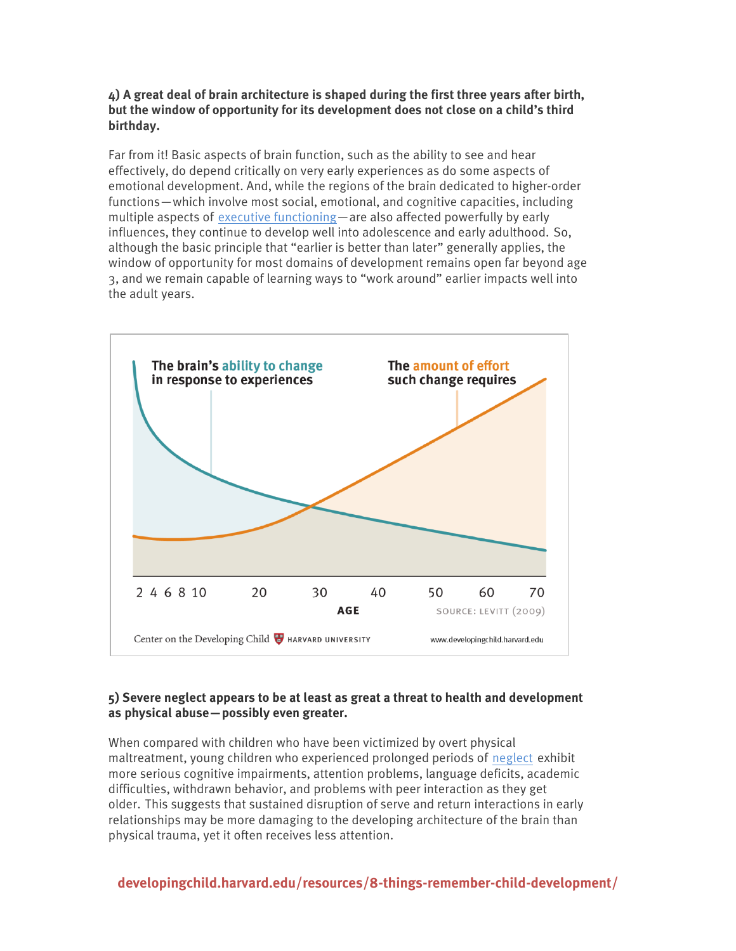## **4) A great deal of brain architecture is shaped during the first three years after birth, but the window of opportunity for its development does not close on a child's third birthday.**

Far from it! Basic aspects of brain function, such as the ability to see and hear effectively, do depend critically on very early experiences as do some aspects of emotional development. And, while the regions of the brain dedicated to higher-order functions—which involve most social, emotional, and cognitive capacities, including multiple aspects of [executive functioning—](http://developingchild.harvard.edu/science/key-concepts/executive-function/)are also affected powerfully by early influences, they continue to develop well into adolescence and early adulthood. So, although the basic principle that "earlier is better than later" generally applies, the window of opportunity for most domains of development remains open far beyond age 3, and we remain capable of learning ways to "work around" earlier impacts well into the adult years.



# **5) Severe neglect appears to be at least as great a threat to health and development as physical abuse—possibly even greater.**

When compared with children who have been victimized by overt physical maltreatment, young children who experienced prolonged periods of [neglect](http://developingchild.harvard.edu/science/deep-dives/neglect/) exhibit more serious cognitive impairments, attention problems, language deficits, academic difficulties, withdrawn behavior, and problems with peer interaction as they get older. This suggests that sustained disruption of serve and return interactions in early relationships may be more damaging to the developing architecture of the brain than physical trauma, yet it often receives less attention.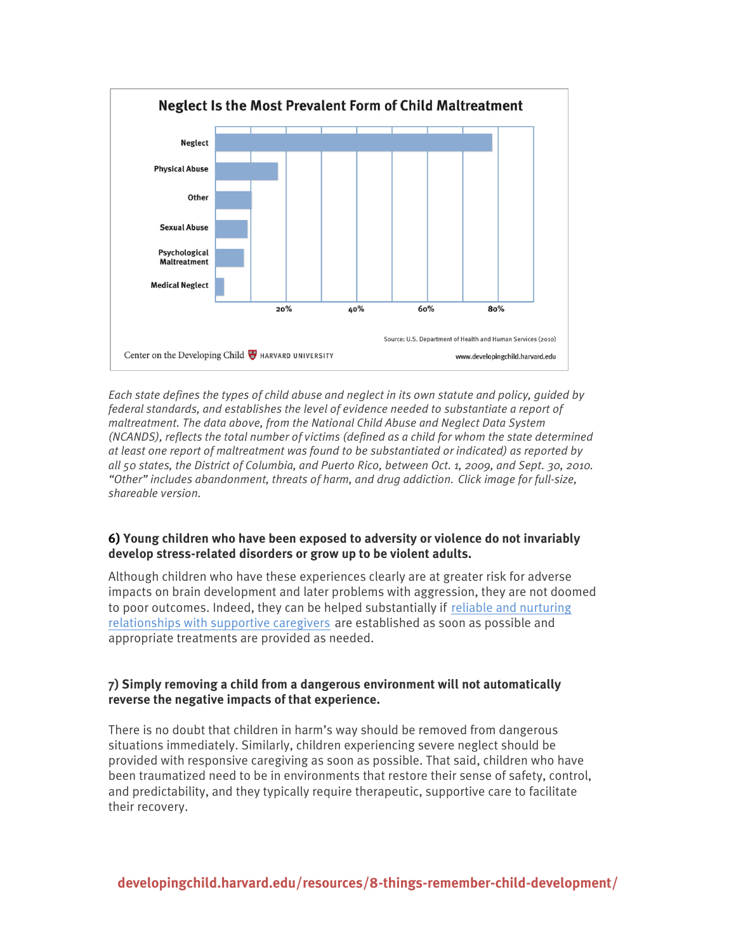

*Each state defines the types of child abuse and neglect in its own statute and policy, guided by federal standards, and establishes the level of evidence needed to substantiate a report of maltreatment. The data above, from the National Child Abuse and Neglect Data System (NCANDS), reflects the total number of victims (defined as a child for whom the state determined at least one report of maltreatment was found to be substantiated or indicated) as reported by all 50 states, the District of Columbia, and Puerto Rico, between Oct. 1, 2009, and Sept. 30, 2010. "Other" includes abandonment, threats of harm, and drug addiction. Click image for full-size, shareable version.*

#### **6) Young children who have been exposed to adversity or violence do not invariably develop stress-related disorders or grow up to be violent adults.**

Although children who have these experiences clearly are at greater risk for adverse impacts on brain development and later problems with aggression, they are not doomed to poor outcomes. Indeed, they can be helped substantially if [reliable and nurturing](http://developingchild.harvard.edu/science/key-concepts/serve-and-return/)  [relationships with supportive caregivers](http://developingchild.harvard.edu/science/key-concepts/serve-and-return/) are established as soon as possible and appropriate treatments are provided as needed.

# **7) Simply removing a child from a dangerous environment will not automatically reverse the negative impacts of that experience.**

There is no doubt that children in harm's way should be removed from dangerous situations immediately. Similarly, children experiencing severe neglect should be provided with responsive caregiving as soon as possible. That said, children who have been traumatized need to be in environments that restore their sense of safety, control, and predictability, and they typically require therapeutic, supportive care to facilitate their recovery.